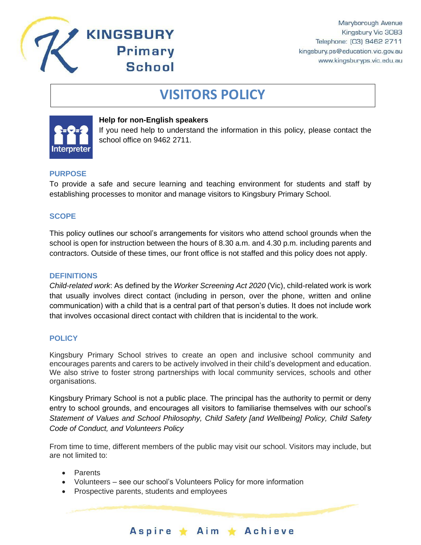

# **VISITORS POLICY**



### **Help for non-English speakers**

**KINGSBURY** 

**Primary** 

**School** 

If you need help to understand the information in this policy, please contact the school office on 9462 2711.

## **PURPOSE**

To provide a safe and secure learning and teaching environment for students and staff by establishing processes to monitor and manage visitors to Kingsbury Primary School.

## **SCOPE**

This policy outlines our school's arrangements for visitors who attend school grounds when the school is open for instruction between the hours of 8.30 a.m. and 4.30 p.m. including parents and contractors. Outside of these times, our front office is not staffed and this policy does not apply.

#### **DEFINITIONS**

*Child-related work*: As defined by the *Worker Screening Act 2020* (Vic), child-related work is work that usually involves direct contact (including in person, over the phone, written and online communication) with a child that is a central part of that person's duties. It does not include work that involves occasional direct contact with children that is incidental to the work.

#### **POLICY**

Kingsbury Primary School strives to create an open and inclusive school community and encourages parents and carers to be actively involved in their child's development and education. We also strive to foster strong partnerships with local community services, schools and other organisations.

Kingsbury Primary School is not a public place. The principal has the authority to permit or deny entry to school grounds, and encourages all visitors to familiarise themselves with our school's *Statement of Values and School Philosophy, Child Safety [and Wellbeing] Policy, Child Safety Code of Conduct, and Volunteers Policy*

From time to time, different members of the public may visit our school. Visitors may include, but are not limited to:

Aspire \* Aim \* Achieve

- Parents
- Volunteers see our school's Volunteers Policy for more information
- Prospective parents, students and employees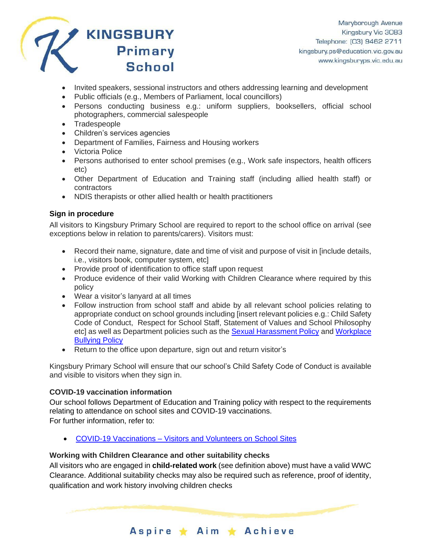

- Invited speakers, sessional instructors and others addressing learning and development
- Public officials (e.g., Members of Parliament, local councillors)
- Persons conducting business e.g.: uniform suppliers, booksellers, official school photographers, commercial salespeople
- Tradespeople
- Children's services agencies
- Department of Families, Fairness and Housing workers
- Victoria Police
- Persons authorised to enter school premises (e.g., Work safe inspectors, health officers etc)
- Other Department of Education and Training staff (including allied health staff) or contractors
- NDIS therapists or other allied health or health practitioners

# **Sign in procedure**

All visitors to Kingsbury Primary School are required to report to the school office on arrival (see exceptions below in relation to parents/carers). Visitors must:

- Record their name, signature, date and time of visit and purpose of visit in [include details, i.e., visitors book, computer system, etc]
- Provide proof of identification to office staff upon request
- Produce evidence of their valid Working with Children Clearance where required by this policy
- Wear a visitor's lanyard at all times
- Follow instruction from school staff and abide by all relevant school policies relating to appropriate conduct on school grounds including [insert relevant policies e.g.: Child Safety Code of Conduct, Respect for School Staff, Statement of Values and School Philosophy etc] as well as Department policies such as the [Sexual Harassment Policy](https://www2.education.vic.gov.au/pal/sexual-harassment/overview) and Workplace [Bullying Policy](https://www2.education.vic.gov.au/pal/workplace-bullying/policy)
- Return to the office upon departure, sign out and return visitor's

Kingsbury Primary School will ensure that our school's Child Safety Code of Conduct is available and visible to visitors when they sign in.

# **COVID-19 vaccination information**

Our school follows Department of Education and Training policy with respect to the requirements relating to attendance on school sites and COVID-19 vaccinations. For further information, refer to:

• COVID-19 Vaccinations – [Visitors and Volunteers on School Sites](https://www2.education.vic.gov.au/pal/covid-19-vaccinations-visitors-volunteers/policy)

# **Working with Children Clearance and other suitability checks**

All visitors who are engaged in **child-related work** (see definition above) must have a valid WWC Clearance. Additional suitability checks may also be required such as reference, proof of identity, qualification and work history involving children checks

Aspire ★ Aim ★ Achieve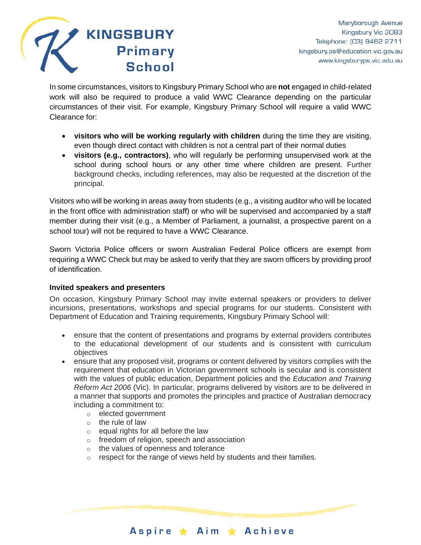

In some circumstances, visitors to Kingsbury Primary School who are **not** engaged in child-related work will also be required to produce a valid WWC Clearance depending on the particular circumstances of their visit. For example, Kingsbury Primary School will require a valid WWC Clearance for:

- **visitors who will be working regularly with children** during the time they are visiting, even though direct contact with children is not a central part of their normal duties
- **visitors (e.g., contractors)**, who will regularly be performing unsupervised work at the school during school hours or any other time where children are present. Further background checks, including references, may also be requested at the discretion of the principal.

Visitors who will be working in areas away from students (e.g., a visiting auditor who will be located in the front office with administration staff) or who will be supervised and accompanied by a staff member during their visit (e.g., a Member of Parliament, a journalist, a prospective parent on a school tour) will not be required to have a WWC Clearance.

Sworn Victoria Police officers or sworn Australian Federal Police officers are exempt from requiring a WWC Check but may be asked to verify that they are sworn officers by providing proof of identification.

## **Invited speakers and presenters**

On occasion, Kingsbury Primary School may invite external speakers or providers to deliver incursions, presentations, workshops and special programs for our students. Consistent with Department of Education and Training requirements, Kingsbury Primary School will:

- ensure that the content of presentations and programs by external providers contributes to the educational development of our students and is consistent with curriculum objectives
- ensure that any proposed visit, programs or content delivered by visitors complies with the requirement that education in Victorian government schools is secular and is consistent with the values of public education, Department policies and the *Education and Training Reform Act 2006* (Vic). In particular, programs delivered by visitors are to be delivered in a manner that supports and promotes the principles and practice of Australian democracy including a commitment to:
	- o elected government
	- $\circ$  the rule of law
	- o equal rights for all before the law
	- o freedom of religion, speech and association
	- o the values of openness and tolerance
	- $\circ$  respect for the range of views held by students and their families.

Aspire ★ Aim ★ Achieve